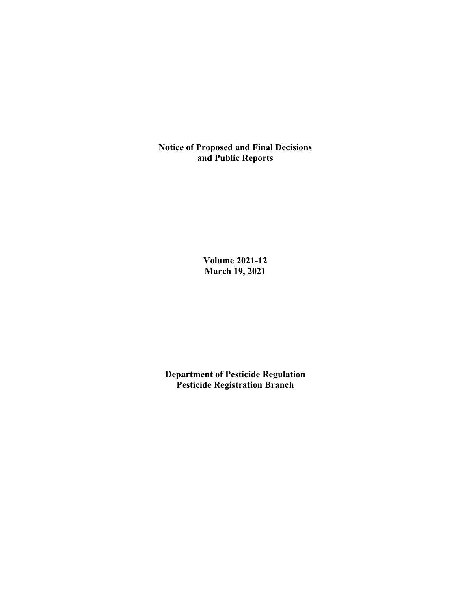**Notice of Proposed and Final Decisions and Public Reports**

> **Volume 2021-12 March 19, 2021**

**Department of Pesticide Regulation Pesticide Registration Branch**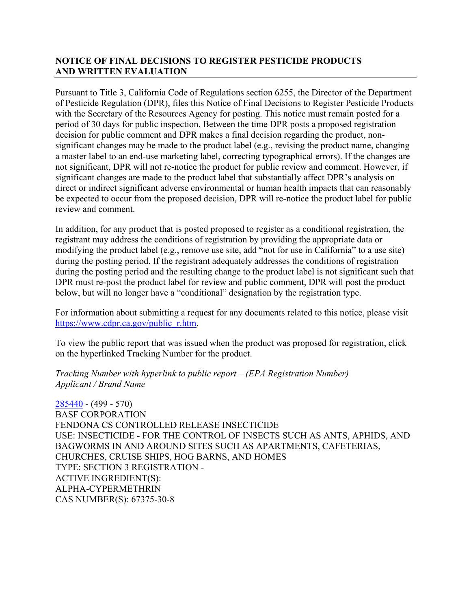## **NOTICE OF FINAL DECISIONS TO REGISTER PESTICIDE PRODUCTS AND WRITTEN EVALUATION**

Pursuant to Title 3, California Code of Regulations section 6255, the Director of the Department of Pesticide Regulation (DPR), files this Notice of Final Decisions to Register Pesticide Products with the Secretary of the Resources Agency for posting. This notice must remain posted for a period of 30 days for public inspection. Between the time DPR posts a proposed registration decision for public comment and DPR makes a final decision regarding the product, nonsignificant changes may be made to the product label (e.g., revising the product name, changing a master label to an end-use marketing label, correcting typographical errors). If the changes are not significant, DPR will not re-notice the product for public review and comment. However, if significant changes are made to the product label that substantially affect DPR's analysis on direct or indirect significant adverse environmental or human health impacts that can reasonably be expected to occur from the proposed decision, DPR will re-notice the product label for public review and comment.

In addition, for any product that is posted proposed to register as a conditional registration, the registrant may address the conditions of registration by providing the appropriate data or modifying the product label (e.g., remove use site, add "not for use in California" to a use site) during the posting period. If the registrant adequately addresses the conditions of registration during the posting period and the resulting change to the product label is not significant such that DPR must re-post the product label for review and public comment, DPR will post the product below, but will no longer have a "conditional" designation by the registration type.

For information about submitting a request for any documents related to this notice, please visit [https://www.cdpr.ca.gov/public\\_r.htm.](https://www.cdpr.ca.gov/public_r.htm)

To view the public report that was issued when the product was proposed for registration, click on the hyperlinked Tracking Number for the product.

*Tracking Number with hyperlink to public report – (EPA Registration Number) Applicant / Brand Name*

[285440](https://www.cdpr.ca.gov/docs/registration/nod/public_reports/285440.pdf) - (499 - 570) BASF CORPORATION FENDONA CS CONTROLLED RELEASE INSECTICIDE USE: INSECTICIDE - FOR THE CONTROL OF INSECTS SUCH AS ANTS, APHIDS, AND BAGWORMS IN AND AROUND SITES SUCH AS APARTMENTS, CAFETERIAS, CHURCHES, CRUISE SHIPS, HOG BARNS, AND HOMES TYPE: SECTION 3 REGISTRATION - ACTIVE INGREDIENT(S): ALPHA-CYPERMETHRIN CAS NUMBER(S): 67375-30-8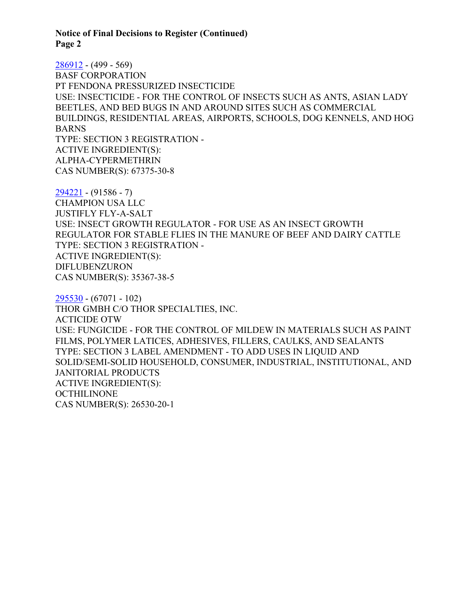**Notice of Final Decisions to Register (Continued) Page 2**

[286912](https://www.cdpr.ca.gov/docs/registration/nod/public_reports/286912.pdf) - (499 - 569) BASF CORPORATION PT FENDONA PRESSURIZED INSECTICIDE USE: INSECTICIDE - FOR THE CONTROL OF INSECTS SUCH AS ANTS, ASIAN LADY BEETLES, AND BED BUGS IN AND AROUND SITES SUCH AS COMMERCIAL BUILDINGS, RESIDENTIAL AREAS, AIRPORTS, SCHOOLS, DOG KENNELS, AND HOG BARNS TYPE: SECTION 3 REGISTRATION - ACTIVE INGREDIENT(S): ALPHA-CYPERMETHRIN CAS NUMBER(S): 67375-30-8

[294221](https://www.cdpr.ca.gov/docs/registration/nod/public_reports/294221.pdf) - (91586 - 7) CHAMPION USA LLC JUSTIFLY FLY-A-SALT USE: INSECT GROWTH REGULATOR - FOR USE AS AN INSECT GROWTH REGULATOR FOR STABLE FLIES IN THE MANURE OF BEEF AND DAIRY CATTLE TYPE: SECTION 3 REGISTRATION - ACTIVE INGREDIENT(S): DIFLUBENZURON CAS NUMBER(S): 35367-38-5

[295530](https://www.cdpr.ca.gov/docs/registration/nod/public_reports/295530.pdf) - (67071 - 102) THOR GMBH C/O THOR SPECIALTIES, INC. ACTICIDE OTW USE: FUNGICIDE - FOR THE CONTROL OF MILDEW IN MATERIALS SUCH AS PAINT FILMS, POLYMER LATICES, ADHESIVES, FILLERS, CAULKS, AND SEALANTS TYPE: SECTION 3 LABEL AMENDMENT - TO ADD USES IN LIQUID AND SOLID/SEMI-SOLID HOUSEHOLD, CONSUMER, INDUSTRIAL, INSTITUTIONAL, AND JANITORIAL PRODUCTS ACTIVE INGREDIENT(S): **OCTHILINONE** CAS NUMBER(S): 26530-20-1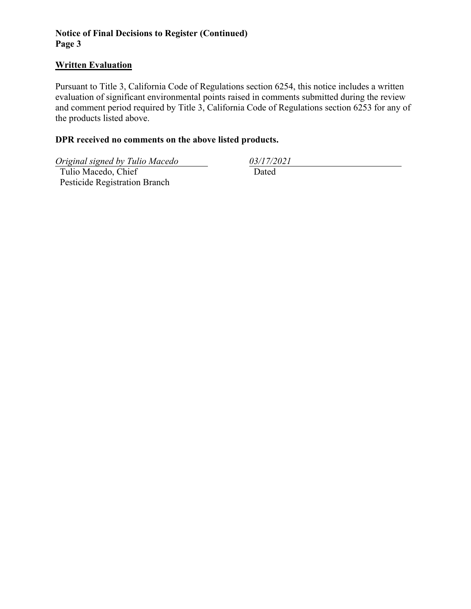## **Notice of Final Decisions to Register (Continued) Page 3**

## **Written Evaluation**

Pursuant to Title 3, California Code of Regulations section 6254, this notice includes a written evaluation of significant environmental points raised in comments submitted during the review and comment period required by Title 3, California Code of Regulations section 6253 for any of the products listed above.

## **DPR received no comments on the above listed products.**

*Original signed by Tulio Macedo 03/17/2021*

 Tulio Macedo, Chief Pesticide Registration Branch

Dated